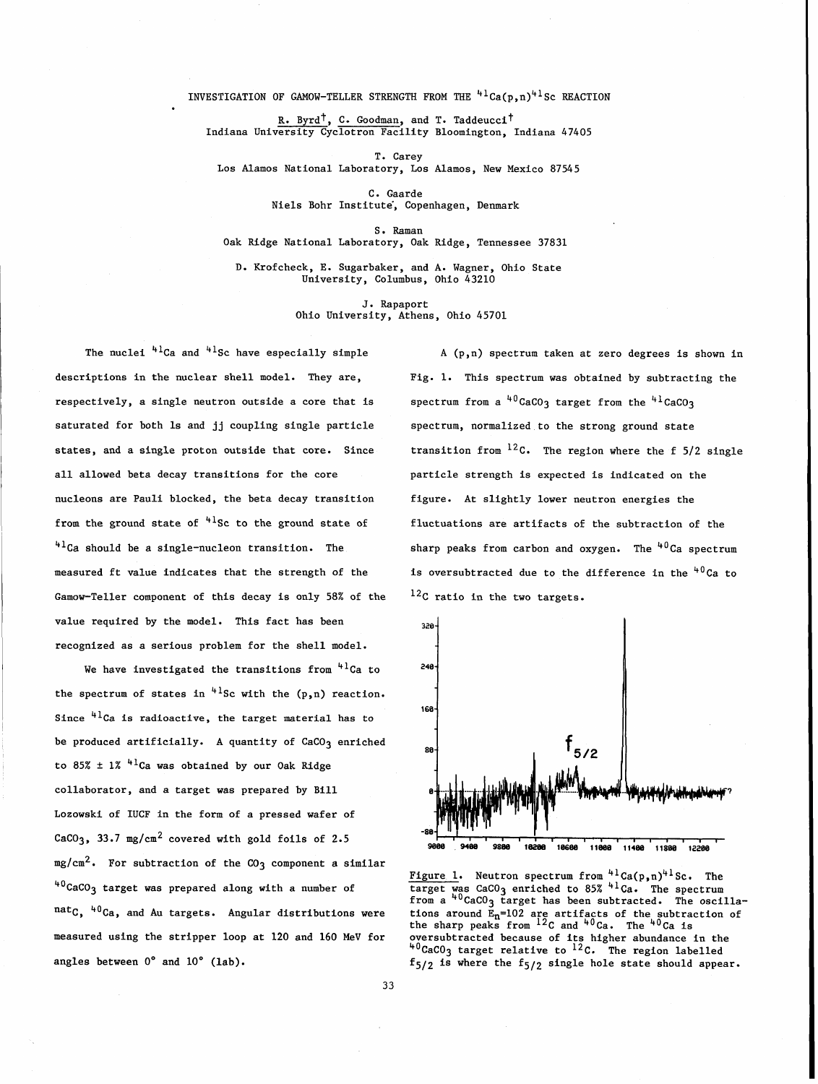INVESTIGATION OF GAMOW-TELLER STRENGTH FROM THE  $41ca(p,n)^{41}$ SC REACTION

R. Byrd<sup>T</sup>, C. Goodman, and T. Taddeucci<sup>t</sup> Indiana University Cyclotron Facility Bloomington, Indiana 47405

T. Carey Los Alamos National Laboratory, Los Alamos, New Mexico 87545

> C. Gaarde Niels Bohr Institute, Copenhagen, Denmark

> > S. Raman

Oak Ridge National Laboratory, Oak Ridge, Tennessee 37831

D. Krofcheck, E. Sugarbaker, and A. Wagner, Ohio State University, Columbus, Ohio 43210

> **J.** Rapaport Ohio University, Athens, Ohio 45701

The nuclei  $41^2$ Ca and  $41^2$ Sc have especially simple  $A(p,n)$  spectrum taken at zero degrees is shown in respectively, a single neutron outside a core that is spectrum from a  $^{40}$ CaCO3 target from the  $^{41}$ CaCO3 saturated for both Is and jj coupling single particle spectrum, normalized to the strong ground state all allowed beta decay transitions for the core particle strength is expected is indicated on the nucleons are Pauli blocked, the beta decay transition from the ground state of  $4^{1}$ Sc to the ground state of  $41$ Ca should be a single-nucleon transition. The measured ft value indicates that the strength of the Gamow-Teller component of this decay is only 58% of the value required by the model. This fact has been recognized as a serious problem for the shell model.

We have investigated the transitions from  $4^{1}$ Ca to the spectrum of states in  $4\log n$  with the (p,n) reaction. Since  $4^{1}$ Ca is radioactive, the target material has to be produced artificially. A quantity of  $CaCO<sub>3</sub>$  enriched to 85%  $\pm$  1% <sup>41</sup>Ca was obtained by our Oak Ridge collaborator, and a target was prepared by Bill Lozowski of IUCF in the form of a pressed wafer of CaCO<sub>3</sub>, 33.7 mg/cm<sup>2</sup> covered with gold foils of 2.5  $mg/cm^2$ . For subtraction of the  $CO<sub>3</sub>$  component a similar  $40^{\circ}$ CaCO<sub>3</sub> target was prepared along with a number of  $natC, 40Ca,$  and Au targets. Angular distributions were measured using the stripper loop at 120 and 160 MeV for angles between 0' and 10' (lab).

descriptions in the nuclear shell model. They are, Fig. 1. This spectrum was obtained by subtracting the states, and a single proton outside that core. Since transition from  $^{12}$ C. The region where the f 5/2 single figure. At slightly lower neutron energies the fluctuations are artifacts of the subtraction of the sharp peaks from carbon and oxygen. The  $40^{\circ}$ Ca spectrum is oversubtracted due to the difference in the  $40^{\circ}$ Ca to 12<sub>C</sub> ratio in the two targets.